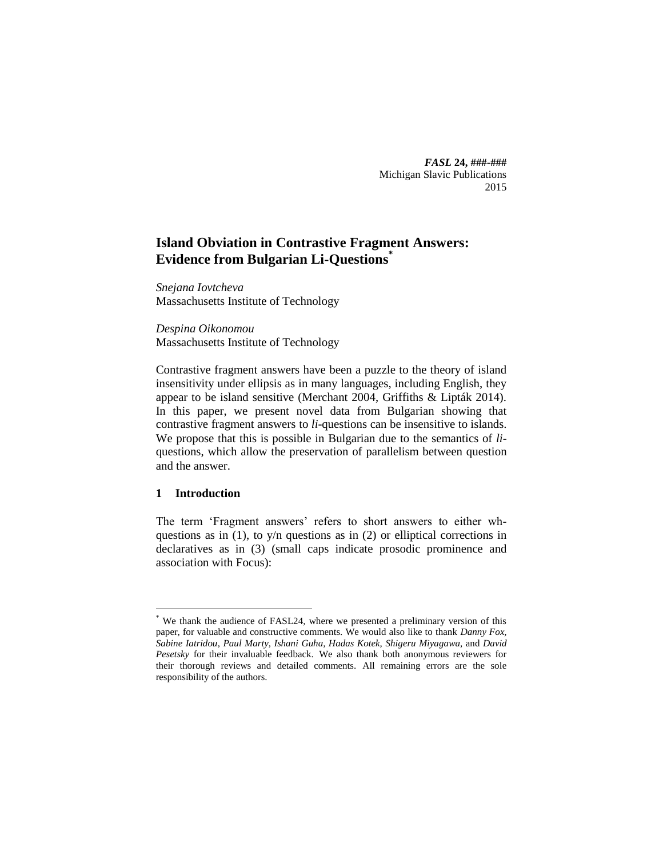*FASL* **24, ###-###** Michigan Slavic Publications 2015

# **Island Obviation in Contrastive Fragment Answers: Evidence from Bulgarian Li-Questions\***

*Snejana Iovtcheva* Massachusetts Institute of Technology

*Despina Oikonomou* Massachusetts Institute of Technology

Contrastive fragment answers have been a puzzle to the theory of island insensitivity under ellipsis as in many languages, including English, they appear to be island sensitive (Merchant 2004, Griffiths & Lipták 2014). In this paper, we present novel data from Bulgarian showing that contrastive fragment answers to *li*-questions can be insensitive to islands. We propose that this is possible in Bulgarian due to the semantics of *li*questions, which allow the preservation of parallelism between question and the answer.

## **1 Introduction**

 $\overline{a}$ 

The term 'Fragment answers' refers to short answers to either whquestions as in  $(1)$ , to  $y/n$  questions as in  $(2)$  or elliptical corrections in declaratives as in (3) (small caps indicate prosodic prominence and association with Focus):

<sup>\*</sup> We thank the audience of FASL24, where we presented a preliminary version of this paper, for valuable and constructive comments. We would also like to thank *Danny Fox, Sabine Iatridou*, *Paul Marty, Ishani Guha, Hadas Kotek, Shigeru Miyagawa,* and *David Pesetsky* for their invaluable feedback. We also thank both anonymous reviewers for their thorough reviews and detailed comments. All remaining errors are the sole responsibility of the authors.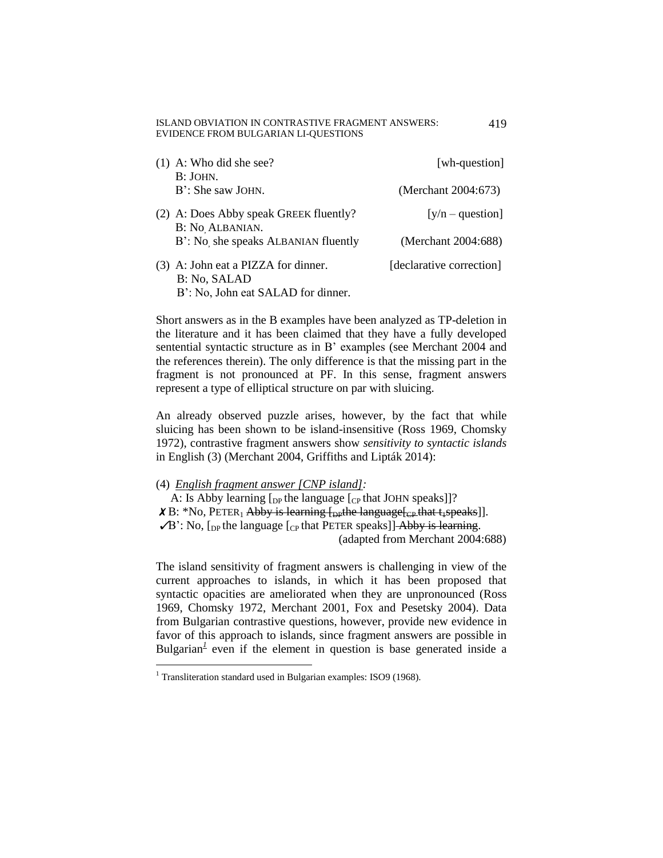#### ISLAND OBVIATION IN CONTRASTIVE FRAGMENT ANSWERS: EVIDENCE FROM BULGARIAN LI-QUESTIONS

| $(1)$ A: Who did she see?<br>B: JOHN.                                                                                                                                                                                                                                                                                                                                                            | [wh-question]            |
|--------------------------------------------------------------------------------------------------------------------------------------------------------------------------------------------------------------------------------------------------------------------------------------------------------------------------------------------------------------------------------------------------|--------------------------|
| B': She saw JOHN.                                                                                                                                                                                                                                                                                                                                                                                | (Merchant 2004:673)      |
| (2) A: Does Abby speak GREEK fluently?<br>B: No ALBANIAN.                                                                                                                                                                                                                                                                                                                                        | $[y/n - question]$       |
| B': No she speaks ALBANIAN fluently                                                                                                                                                                                                                                                                                                                                                              | (Merchant 2004:688)      |
| (3) A: John eat a PIZZA for dinner.<br>B: No, SALAD<br>$\mathbf{D}$ , $\mathbf{M}$ , $\mathbf{I}$ , $\mathbf{I}$ , $\mathbf{I}$ , $\mathbf{I}$ , $\mathbf{I}$ , $\mathbf{I}$ , $\mathbf{I}$ , $\mathbf{I}$ , $\mathbf{I}$ , $\mathbf{I}$ , $\mathbf{I}$ , $\mathbf{I}$ , $\mathbf{I}$ , $\mathbf{I}$ , $\mathbf{I}$ , $\mathbf{I}$ , $\mathbf{I}$ , $\mathbf{I}$ , $\mathbf{I}$ , $\mathbf{I}$ , | [declarative correction] |

B': No, John eat SALAD for dinner.

Short answers as in the B examples have been analyzed as TP-deletion in the literature and it has been claimed that they have a fully developed sentential syntactic structure as in B' examples (see Merchant 2004 and the references therein). The only difference is that the missing part in the fragment is not pronounced at PF. In this sense, fragment answers represent a type of elliptical structure on par with sluicing.

An already observed puzzle arises, however, by the fact that while sluicing has been shown to be island-insensitive (Ross 1969, Chomsky 1972), contrastive fragment answers show *sensitivity to syntactic islands* in English (3) (Merchant 2004, Griffiths and Lipták 2014):

## (4) *English fragment answer [CNP island]:*

A: Is Abby learning  $\lceil_{DP}$  the language  $\lceil_{CP}$  that JOHN speaks]]? X B: \*No, PETER<sub>1</sub> Abby is learning [<sub>DP</sub>the language[<sub>CP</sub> that t<sub>1</sub>speaks]].  $\sqrt{B}$ : No,  $\lbrack_{DP}$  the language  $\lbrack_{CP}$  that PETER speaks]] Abby is learning. (adapted from Merchant 2004:688)

The island sensitivity of fragment answers is challenging in view of the current approaches to islands, in which it has been proposed that syntactic opacities are ameliorated when they are unpronounced (Ross 1969, Chomsky 1972, Merchant 2001, Fox and Pesetsky 2004). Data from Bulgarian contrastive questions, however, provide new evidence in favor of this approach to islands, since fragment answers are possible in Bulgarian<sup>1</sup> even if the element in question is base generated inside a

 $1$  Transliteration standard used in Bulgarian examples: ISO9 (1968).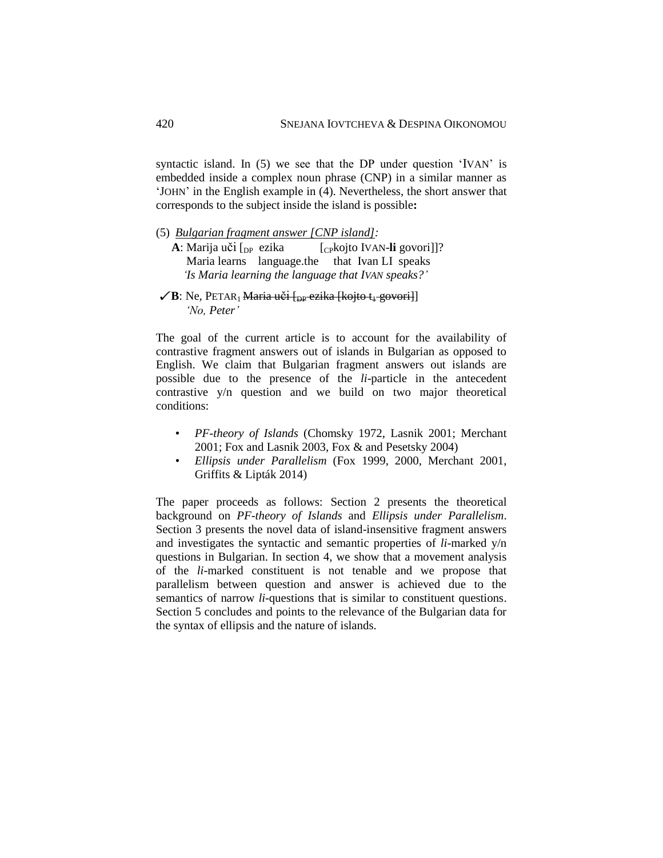syntactic island. In (5) we see that the DP under question 'IVAN' is embedded inside a complex noun phrase (CNP) in a similar manner as 'JOHN' in the English example in (4). Nevertheless, the short answer that corresponds to the subject inside the island is possible**:**

- (5) *Bulgarian fragment answer [CNP island]:*
	- **A**: Marija uči [<sub>DP</sub> ezika [<sub>CP</sub>kojto IVAN-**li** govori]]? Maria learns language.the that Ivan LI speaks  *'Is Maria learning the language that IVAN speaks?'*
- $\angle$ B: Ne, PETAR<sub>1</sub> Maria u<del>či [<sub>DP</sub> ezika [kojto t<sub>1</sub> govori]</del>]  *'No, Peter'*

The goal of the current article is to account for the availability of contrastive fragment answers out of islands in Bulgarian as opposed to English. We claim that Bulgarian fragment answers out islands are possible due to the presence of the *li*-particle in the antecedent contrastive y/n question and we build on two major theoretical conditions:

- *PF-theory of Islands* (Chomsky 1972, Lasnik 2001; Merchant 2001; Fox and Lasnik 2003, Fox & and Pesetsky 2004)
- *Ellipsis under Parallelism* (Fox 1999, 2000, Merchant 2001, Griffits & Lipták 2014)

The paper proceeds as follows: Section 2 presents the theoretical background on *PF-theory of Islands* and *Ellipsis under Parallelism*. Section 3 presents the novel data of island-insensitive fragment answers and investigates the syntactic and semantic properties of *li*-marked y/n questions in Bulgarian. In section 4, we show that a movement analysis of the *li*-marked constituent is not tenable and we propose that parallelism between question and answer is achieved due to the semantics of narrow *li*-questions that is similar to constituent questions. Section 5 concludes and points to the relevance of the Bulgarian data for the syntax of ellipsis and the nature of islands.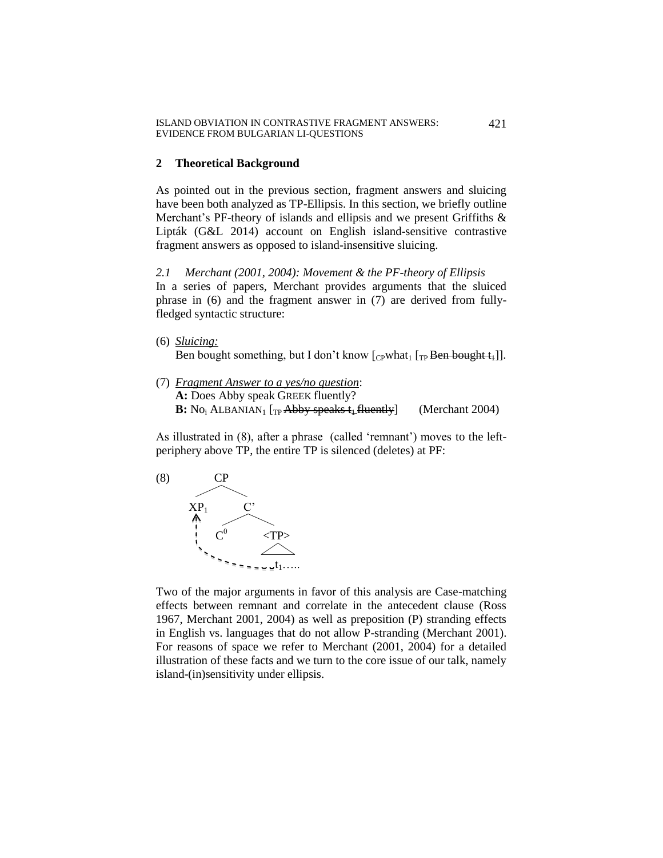#### **2 Theoretical Background**

As pointed out in the previous section, fragment answers and sluicing have been both analyzed as TP-Ellipsis. In this section, we briefly outline Merchant's PF-theory of islands and ellipsis and we present Griffiths & Lipták (G&L 2014) account on English island-sensitive contrastive fragment answers as opposed to island-insensitive sluicing.

*2.1 Merchant (2001, 2004): Movement & the PF-theory of Ellipsis* In a series of papers, Merchant provides arguments that the sluiced phrase in (6) and the fragment answer in (7) are derived from fullyfledged syntactic structure:

- (6) *Sluicing:* Ben bought something, but I don't know  $[$ <sub>CP</sub>what<sub>1</sub> [<sub>TP</sub> Ben bought  $t$ <sub>4</sub>]].
- (7) *Fragment Answer to a yes/no question*: **A:** Does Abby speak GREEK fluently? **B:** No<sub>i</sub> ALBANIAN<sub>1</sub> [<sub>TP</sub> Abby speaks t<sub>4</sub> fluently] (Merchant 2004)

As illustrated in (8), after a phrase (called 'remnant') moves to the leftperiphery above TP, the entire TP is silenced (deletes) at PF:



Two of the major arguments in favor of this analysis are Case-matching effects between remnant and correlate in the antecedent clause (Ross 1967, Merchant 2001, 2004) as well as preposition (P) stranding effects in English vs. languages that do not allow P-stranding (Merchant 2001). For reasons of space we refer to Merchant (2001, 2004) for a detailed illustration of these facts and we turn to the core issue of our talk, namely island-(in)sensitivity under ellipsis.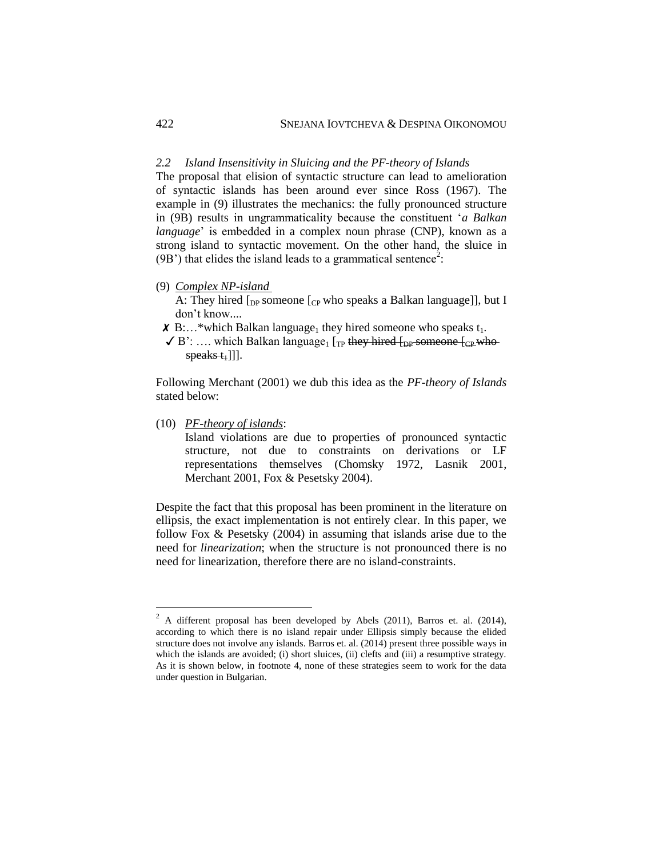## *2.2 Island Insensitivity in Sluicing and the PF-theory of Islands*

The proposal that elision of syntactic structure can lead to amelioration of syntactic islands has been around ever since Ross (1967). The example in (9) illustrates the mechanics: the fully pronounced structure in (9B) results in ungrammaticality because the constituent '*a Balkan language*' is embedded in a complex noun phrase (CNP), known as a strong island to syntactic movement. On the other hand, the sluice in  $(9B')$  that elides the island leads to a grammatical sentence<sup>2</sup>:

(9) *Complex NP-island* 

A: They hired  $\lceil_{DP}$  someone  $\lceil_{CP}$  who speaks a Balkan language]], but I don't know....

 $\boldsymbol{X}$  B:...\*which Balkan language<sub>1</sub> they hired someone who speaks  $t_1$ .

 $\checkmark$  B': .... which Balkan language<sub>1</sub> [<sub>TP</sub> they hired [<sub>DP</sub> someone [<sub>CP</sub> who- $\frac{speaks_t}{1}$ ]].

Following Merchant (2001) we dub this idea as the *PF-theory of Islands* stated below:

(10) *PF-theory of islands*:

 $\overline{a}$ 

Island violations are due to properties of pronounced syntactic structure, not due to constraints on derivations or LF representations themselves (Chomsky 1972, Lasnik 2001, Merchant 2001, Fox & Pesetsky 2004).

Despite the fact that this proposal has been prominent in the literature on ellipsis, the exact implementation is not entirely clear. In this paper, we follow Fox & Pesetsky (2004) in assuming that islands arise due to the need for *linearization*; when the structure is not pronounced there is no need for linearization, therefore there are no island-constraints.

 $2$  A different proposal has been developed by Abels (2011), Barros et. al. (2014), according to which there is no island repair under Ellipsis simply because the elided structure does not involve any islands. Barros et. al. (2014) present three possible ways in which the islands are avoided; (i) short sluices, (ii) clefts and (iii) a resumptive strategy. As it is shown below, in footnote 4, none of these strategies seem to work for the data under question in Bulgarian.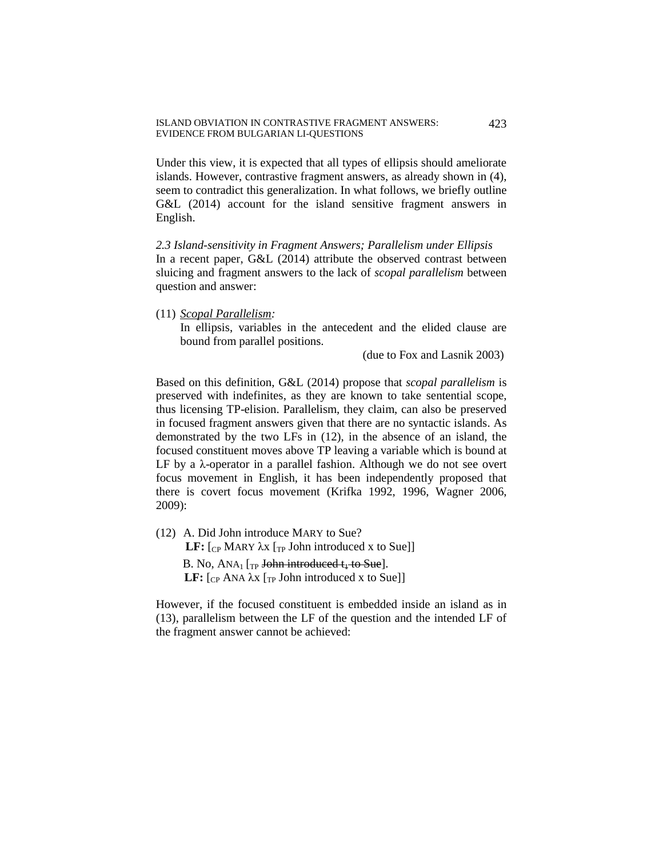Under this view, it is expected that all types of ellipsis should ameliorate islands. However, contrastive fragment answers, as already shown in (4), seem to contradict this generalization. In what follows, we briefly outline G&L (2014) account for the island sensitive fragment answers in English.

*2.3 Island-sensitivity in Fragment Answers; Parallelism under Ellipsis* In a recent paper, G&L (2014) attribute the observed contrast between sluicing and fragment answers to the lack of *scopal parallelism* between question and answer:

(11) *Scopal Parallelism:* 

In ellipsis, variables in the antecedent and the elided clause are bound from parallel positions.

(due to Fox and Lasnik 2003)

Based on this definition, G&L (2014) propose that *scopal parallelism* is preserved with indefinites, as they are known to take sentential scope, thus licensing TP-elision. Parallelism, they claim, can also be preserved in focused fragment answers given that there are no syntactic islands. As demonstrated by the two LFs in (12), in the absence of an island, the focused constituent moves above TP leaving a variable which is bound at LF by a λ-operator in a parallel fashion. Although we do not see overt focus movement in English, it has been independently proposed that there is covert focus movement (Krifka 1992, 1996, Wagner 2006, 2009):

(12) A. Did John introduce MARY to Sue? **LF:**  $[_{CP}$  MARY  $\lambda$ x  $[_{TP}$  John introduced x to Sue]] B. No,  $ANA_1$  [<sub>TP</sub> John introduced  $t_1$  to Sue]. **LF:**  $[CP ANA \lambda x]$   $[TP]$  John introduced x to Sue]]

However, if the focused constituent is embedded inside an island as in (13), parallelism between the LF of the question and the intended LF of the fragment answer cannot be achieved: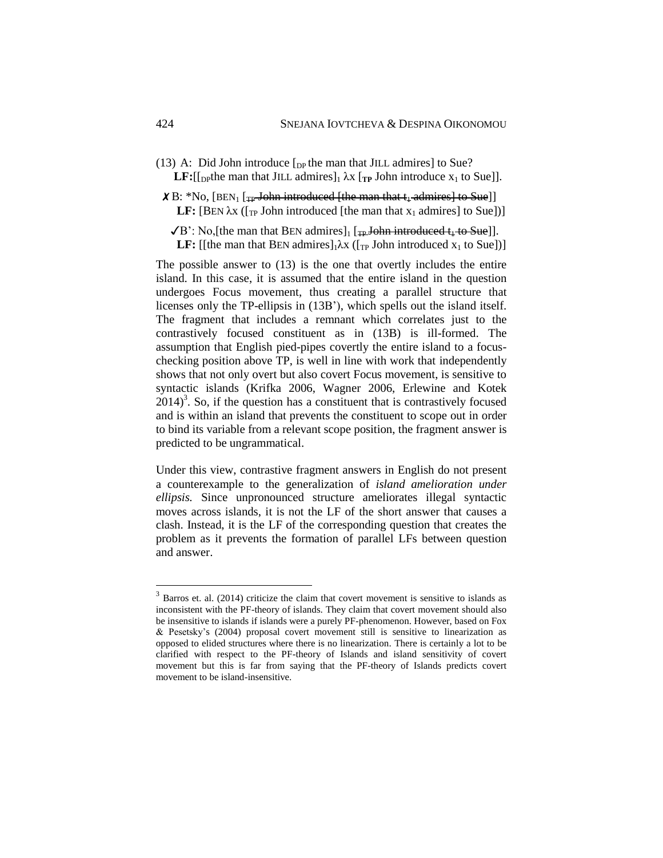(13) A: Did John introduce  $\lceil_{DP}$  the man that JILL admires] to Sue? **LF:**[[<sub>DP</sub>the man that JILL admires]<sub>1</sub>  $\lambda$ x [<sub>TP</sub> John introduce x<sub>1</sub> to Sue]].

 $\angle X B$ : \*No, [BEN<sub>1</sub> [<sub>TP</sub> John introduced [the man that t<sub>1</sub> admires] to Sue]] **LF:** [BEN  $\lambda$ x ( $\lceil_{\text{TP}}$  John introduced [the man that  $x_1$  admires] to Sue])]

 $\sqrt{B}$ : No, [the man that BEN admires]<sub>1</sub> [<sub>TP</sub> John introduced t<sub>4</sub> to Sue]]. **LF:** [[the man that BEN admires] $_1\lambda x$  ([<sub>TP</sub> John introduced  $x_1$  to Sue])]

The possible answer to (13) is the one that overtly includes the entire island. In this case, it is assumed that the entire island in the question undergoes Focus movement, thus creating a parallel structure that licenses only the TP-ellipsis in (13B'), which spells out the island itself. The fragment that includes a remnant which correlates just to the contrastively focused constituent as in (13B) is ill-formed. The assumption that English pied-pipes covertly the entire island to a focuschecking position above TP, is well in line with work that independently shows that not only overt but also covert Focus movement, is sensitive to syntactic islands (Krifka 2006, Wagner 2006, Erlewine and Kotek  $2014$ <sup>3</sup>. So, if the question has a constituent that is contrastively focused and is within an island that prevents the constituent to scope out in order to bind its variable from a relevant scope position, the fragment answer is predicted to be ungrammatical.

Under this view, contrastive fragment answers in English do not present a counterexample to the generalization of *island amelioration under ellipsis.* Since unpronounced structure ameliorates illegal syntactic moves across islands, it is not the LF of the short answer that causes a clash. Instead, it is the LF of the corresponding question that creates the problem as it prevents the formation of parallel LFs between question and answer.

 $3$  Barros et. al. (2014) criticize the claim that covert movement is sensitive to islands as inconsistent with the PF-theory of islands. They claim that covert movement should also be insensitive to islands if islands were a purely PF-phenomenon. However, based on Fox & Pesetsky's (2004) proposal covert movement still is sensitive to linearization as opposed to elided structures where there is no linearization. There is certainly a lot to be clarified with respect to the PF-theory of Islands and island sensitivity of covert movement but this is far from saying that the PF-theory of Islands predicts covert movement to be island-insensitive.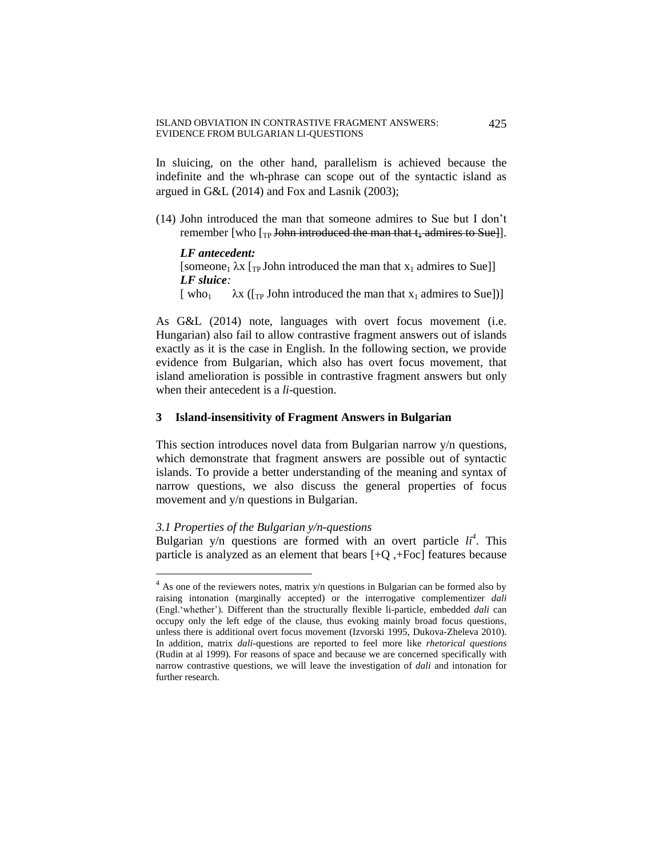In sluicing, on the other hand, parallelism is achieved because the indefinite and the wh-phrase can scope out of the syntactic island as argued in G&L (2014) and Fox and Lasnik (2003);

(14) John introduced the man that someone admires to Sue but I don't remember [who  $\left[\text{r}_p\right]$  John introduced the man that  $t_1$  admires to Sue]].

*LF antecedent:* [someone<sub>1</sub>  $\lambda$ x [<sub>TP</sub> John introduced the man that x<sub>1</sub> admires to Sue]] *LF sluice:* [ who<sub>1</sub>  $\lambda$ x ([<sub>TP</sub> John introduced the man that x<sub>1</sub> admires to Sue])]

As G&L (2014) note, languages with overt focus movement (i.e. Hungarian) also fail to allow contrastive fragment answers out of islands exactly as it is the case in English. In the following section, we provide evidence from Bulgarian, which also has overt focus movement, that island amelioration is possible in contrastive fragment answers but only when their antecedent is a *li*-question.

## **3 Island-insensitivity of Fragment Answers in Bulgarian**

This section introduces novel data from Bulgarian narrow y/n questions, which demonstrate that fragment answers are possible out of syntactic islands. To provide a better understanding of the meaning and syntax of narrow questions, we also discuss the general properties of focus movement and y/n questions in Bulgarian.

## *3.1 Properties of the Bulgarian y/n-questions*

 $\overline{a}$ 

Bulgarian y/n questions are formed with an overt particle  $li<sup>4</sup>$ . This particle is analyzed as an element that bears  $[+Q, +Foc]$  features because

 $4$  As one of the reviewers notes, matrix y/n questions in Bulgarian can be formed also by raising intonation (marginally accepted) or the interrogative complementizer *dali* (Engl.'whether')*.* Different than the structurally flexible li-particle, embedded *dali* can occupy only the left edge of the clause, thus evoking mainly broad focus questions, unless there is additional overt focus movement (Izvorski 1995, Dukova-Zheleva 2010). In addition, matrix *dali-*questions are reported to feel more like *rhetorical questions* (Rudin at al 1999). For reasons of space and because we are concerned specifically with narrow contrastive questions, we will leave the investigation of *dali* and intonation for further research.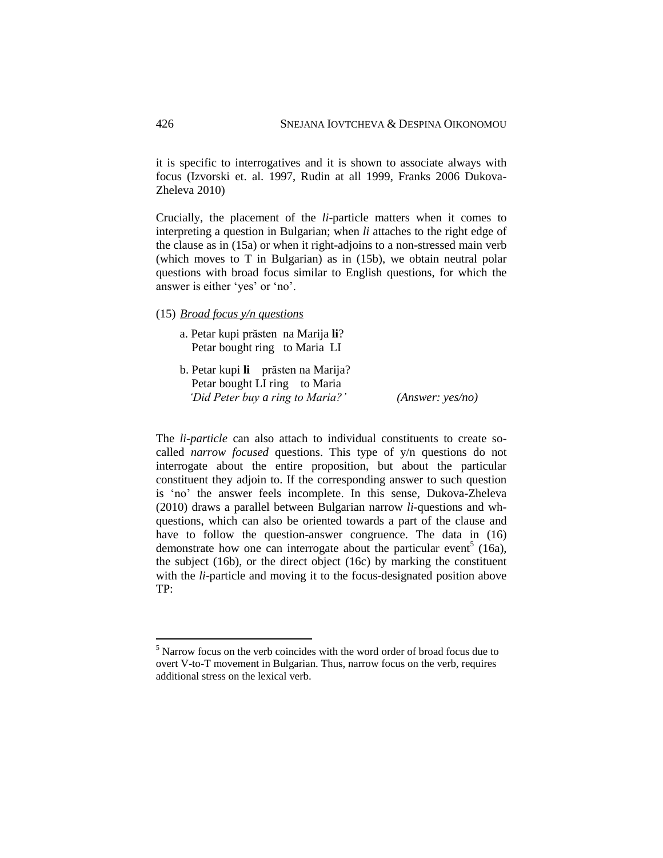it is specific to interrogatives and it is shown to associate always with focus (Izvorski et. al. 1997, Rudin at all 1999, Franks 2006 Dukova-Zheleva 2010)

Crucially, the placement of the *li*-particle matters when it comes to interpreting a question in Bulgarian; when *li* attaches to the right edge of the clause as in (15a) or when it right-adjoins to a non-stressed main verb (which moves to T in Bulgarian) as in (15b), we obtain neutral polar questions with broad focus similar to English questions, for which the answer is either 'yes' or 'no'.

(15) *Broad focus y/n questions*

- a. Petar kupi prăsten na Marija **li**? Petar bought ring to Maria LI
- b. Petar kupi **li** prăsten na Marija? Petar bought LI ring to Maria  *'Did Peter buy a ring to Maria?' (Answer: yes/no)*

The *li-particle* can also attach to individual constituents to create socalled *narrow focused* questions. This type of y/n questions do not interrogate about the entire proposition, but about the particular constituent they adjoin to. If the corresponding answer to such question is 'no' the answer feels incomplete. In this sense, Dukova-Zheleva (2010) draws a parallel between Bulgarian narrow *li*-questions and whquestions, which can also be oriented towards a part of the clause and have to follow the question-answer congruence. The data in (16) demonstrate how one can interrogate about the particular event<sup>5</sup> (16a), the subject (16b), or the direct object (16c) by marking the constituent with the *li*-particle and moving it to the focus-designated position above TP:

<sup>5</sup> Narrow focus on the verb coincides with the word order of broad focus due to overt V-to-T movement in Bulgarian. Thus, narrow focus on the verb, requires additional stress on the lexical verb.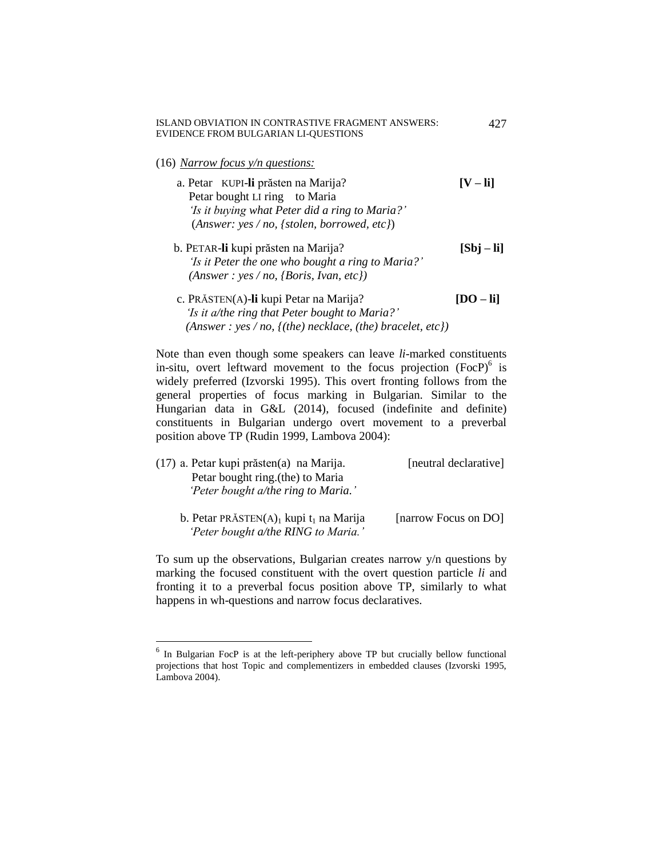(16) *Narrow focus y/n questions:*

 $\overline{a}$ 

- a. Petar KUPI-**li** prăsten na Marija? **[V – li]** Petar bought LI ring to Maria  *'Is it buying what Peter did a ring to Maria?'* (*Answer: yes / no, {stolen, borrowed, etc}*)
- b. PETAR-**li** kupi prăsten na Marija? **[Sbj – li]** *'Is it Peter the one who bought a ring to Maria?' (Answer : yes / no, {Boris, Ivan, etc})*
- c. PRĂSTEN(A)-**li** kupi Petar na Marija? **[DO – li]** *'Is it a/the ring that Peter bought to Maria?' (Answer : yes / no, {(the) necklace, (the) bracelet, etc})*

Note than even though some speakers can leave *li*-marked constituents in-situ, overt leftward movement to the focus projection (FocP)<sup>6</sup> is widely preferred (Izvorski 1995). This overt fronting follows from the general properties of focus marking in Bulgarian. Similar to the Hungarian data in G&L (2014), focused (indefinite and definite) constituents in Bulgarian undergo overt movement to a preverbal position above TP (Rudin 1999, Lambova 2004):

| (17) a. Petar kupi prăsten(a) na Marija.                          | [neutral declarative] |
|-------------------------------------------------------------------|-----------------------|
| Petar bought ring (the) to Maria                                  |                       |
| 'Peter bought a/the ring to Maria.'                               |                       |
| b. Petar PRĂSTEN $(A)$ <sub>1</sub> kupi t <sub>1</sub> na Marija | [narrow Focus on DO]  |
| 'Peter bought a/the RING to Maria.'                               |                       |

To sum up the observations, Bulgarian creates narrow y/n questions by marking the focused constituent with the overt question particle *li* and fronting it to a preverbal focus position above TP, similarly to what happens in wh-questions and narrow focus declaratives.

427

<sup>&</sup>lt;sup>6</sup> In Bulgarian FocP is at the left-periphery above TP but crucially bellow functional projections that host Topic and complementizers in embedded clauses (Izvorski 1995, Lambova 2004).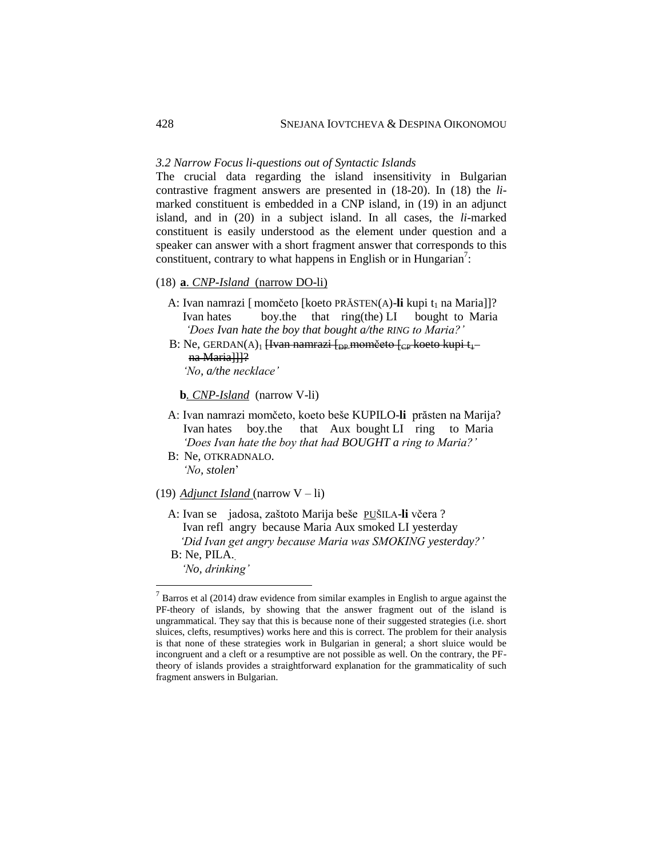#### *3.2 Narrow Focus li-questions out of Syntactic Islands*

The crucial data regarding the island insensitivity in Bulgarian contrastive fragment answers are presented in (18-20). In (18) the *li*marked constituent is embedded in a CNP island, in (19) in an adjunct island, and in (20) in a subject island. In all cases, the *li*-marked constituent is easily understood as the element under question and a speaker can answer with a short fragment answer that corresponds to this constituent, contrary to what happens in English or in Hungarian<sup>7</sup>:

#### (18) **a**. *CNP-Island* (narrow DO-li)

- A: Ivan namrazi [ momčeto [koeto PRĂSTEN(A)-li kupi t<sub>1</sub> na Maria]]? Ivan hates boy.the that ring(the) LI bought to Maria  *'Does Ivan hate the boy that bought a/the RING to Maria?'*
- B: Ne, GERDAN(A)<sub>1</sub> [Ivan namrazi [<sub>DP</sub> momčeto [<sub>CP</sub> koeto kupi t<sub>1</sub> na Maria]]]?

*'No, a/the necklace'*

 **b***. CNP-Island* (narrow V-li)

- A: Ivan namrazi momčeto, koeto beše KUPILO-**li** prăsten na Marija? Ivan hates boy.the that Aux bought LI ring to Maria *'Does Ivan hate the boy that had BOUGHT a ring to Maria?'*
- B: Ne, OTKRADNALO. *'No, stolen*'

(19) *Adjunct Island* (narrow V – li)

- A: Ivan se jadosa, zaštoto Marija beše PUŠILA-**li** včera ? Ivan refl angry because Maria Aux smoked LI yesterday *'Did Ivan get angry because Maria was SMOKING yesterday?'*
- B: Ne, PILA.  *'No, drinking'*

 $^7$  Barros et al (2014) draw evidence from similar examples in English to argue against the PF-theory of islands, by showing that the answer fragment out of the island is ungrammatical. They say that this is because none of their suggested strategies (i.e. short sluices, clefts, resumptives) works here and this is correct. The problem for their analysis is that none of these strategies work in Bulgarian in general; a short sluice would be incongruent and a cleft or a resumptive are not possible as well. On the contrary, the PFtheory of islands provides a straightforward explanation for the grammaticality of such fragment answers in Bulgarian.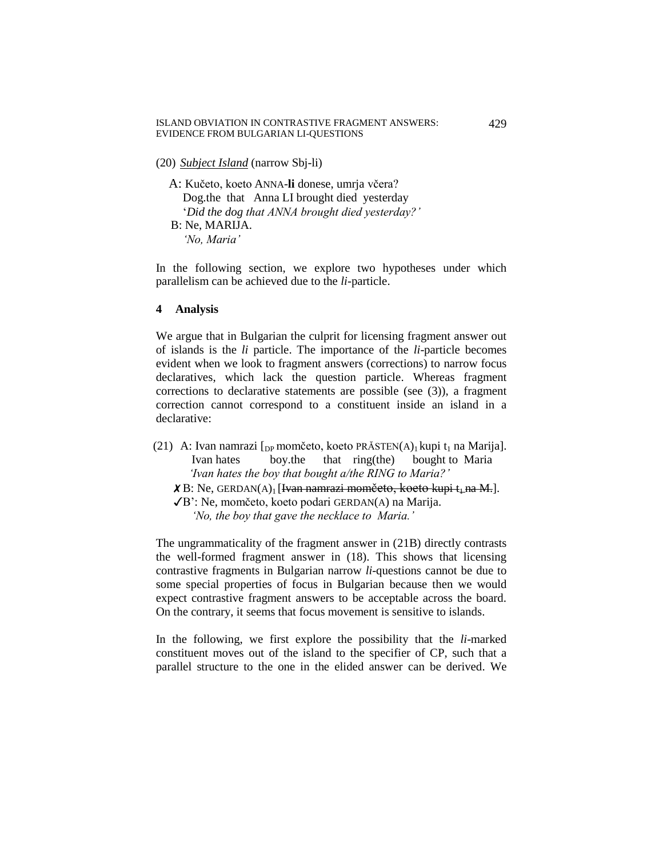- (20) *Subject Island* (narrow Sbj-li)
	- A: Kučeto, koeto ANNA-**li** donese, umrja včera? Dog.the that Anna LI brought died yesterday '*Did the dog that ANNA brought died yesterday?'* B: Ne, MARIJA.  *'No, Maria'*

In the following section, we explore two hypotheses under which parallelism can be achieved due to the *li-*particle.

**4 Analysis** 

We argue that in Bulgarian the culprit for licensing fragment answer out of islands is the *li* particle. The importance of the *li*-particle becomes evident when we look to fragment answers (corrections) to narrow focus declaratives, which lack the question particle. Whereas fragment corrections to declarative statements are possible (see (3)), a fragment correction cannot correspond to a constituent inside an island in a declarative:

- (21) A: Ivan namrazi  $[$ <sub>DP</sub> momčeto, koeto PRĂSTEN(A)<sub>1</sub> kupi t<sub>1</sub> na Marija]. Ivan hates boy.the that ring(the) bought to Maria  *'Ivan hates the boy that bought a/the RING to Maria?'*
	- $\angle X$ B: Ne, GERDAN(A)<sub>1</sub> [Ivan namrazi momčeto, koeto kupi t<sub>i</sub> na M.].
	- ✓B': Ne, momčeto, koeto podari GERDAN(A) na Marija. *'No, the boy that gave the necklace to Maria.'*

The ungrammaticality of the fragment answer in (21B) directly contrasts the well-formed fragment answer in (18). This shows that licensing contrastive fragments in Bulgarian narrow *li*-questions cannot be due to some special properties of focus in Bulgarian because then we would expect contrastive fragment answers to be acceptable across the board. On the contrary, it seems that focus movement is sensitive to islands.

In the following, we first explore the possibility that the *li*-marked constituent moves out of the island to the specifier of CP, such that a parallel structure to the one in the elided answer can be derived. We

429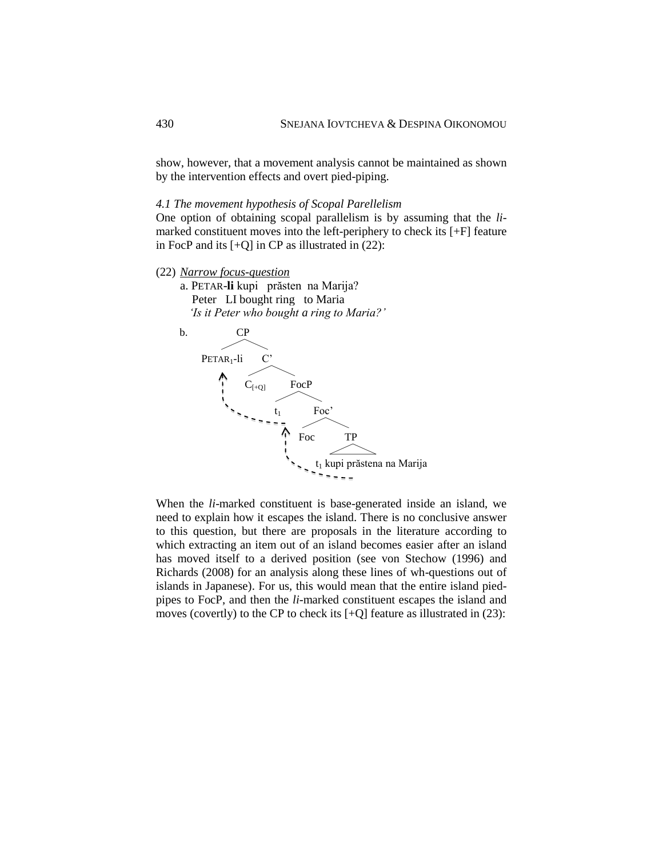show, however, that a movement analysis cannot be maintained as shown by the intervention effects and overt pied-piping.

### *4.1 The movement hypothesis of Scopal Parellelism*

One option of obtaining scopal parallelism is by assuming that the *li*marked constituent moves into the left-periphery to check its [+F] feature in FocP and its  $[+Q]$  in CP as illustrated in  $(22)$ :

- (22) *Narrow focus-question*
	- a. PETAR-**li** kupi prăsten na Marija? Peter LI bought ring to Maria  *'Is it Peter who bought a ring to Maria?'*



When the *li*-marked constituent is base-generated inside an island, we need to explain how it escapes the island. There is no conclusive answer to this question, but there are proposals in the literature according to which extracting an item out of an island becomes easier after an island has moved itself to a derived position (see von Stechow (1996) and Richards (2008) for an analysis along these lines of wh-questions out of islands in Japanese). For us, this would mean that the entire island piedpipes to FocP, and then the *li*-marked constituent escapes the island and moves (covertly) to the CP to check its  $[+Q]$  feature as illustrated in (23):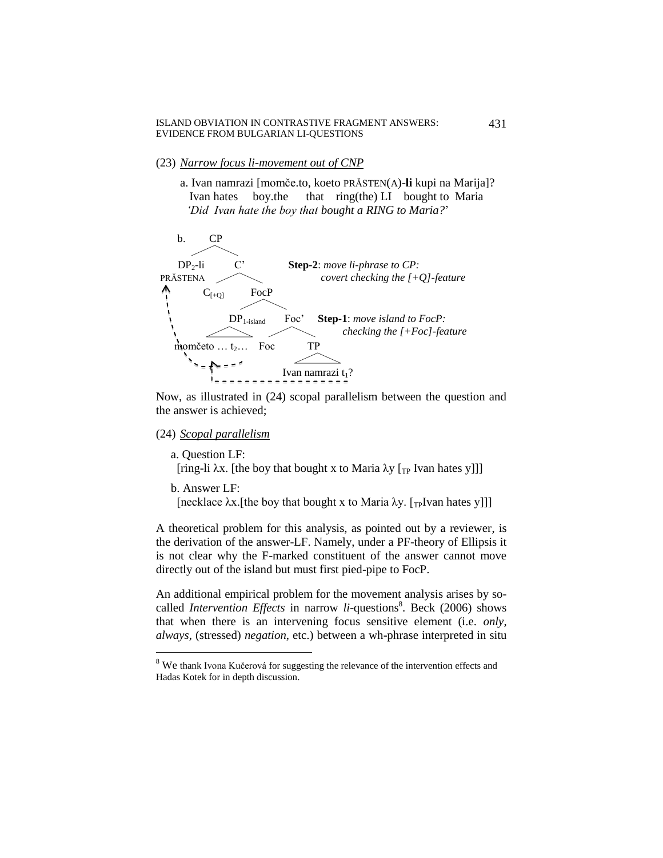- (23) *Narrow focus li-movement out of CNP*
	- a. Ivan namrazi [momče.to, koeto PRĂSTEN(A)-**li** kupi na Marija]? Ivan hates boy.the that ring(the) LI bought to Maria  *'Did Ivan hate the boy that bought a RING to Maria?*'



Now, as illustrated in (24) scopal parallelism between the question and the answer is achieved;

(24) *Scopal parallelism*

a. Question LF: [ring-li  $\lambda x$ . [the boy that bought x to Maria  $\lambda y$  [<sub>TP</sub> Ivan hates y]]]

b. Answer LF:

 $\overline{a}$ 

[necklace  $\lambda x$ .[the boy that bought x to Maria  $\lambda y$ . [<sub>TP</sub>Ivan hates y]]]

A theoretical problem for this analysis, as pointed out by a reviewer, is the derivation of the answer-LF. Namely, under a PF-theory of Ellipsis it is not clear why the F-marked constituent of the answer cannot move directly out of the island but must first pied-pipe to FocP.

An additional empirical problem for the movement analysis arises by socalled *Intervention Effects* in narrow *li*-questions<sup>8</sup>. Beck (2006) shows that when there is an intervening focus sensitive element (i.e. *only*, *always,* (stressed) *negation*, etc.) between a wh-phrase interpreted in situ

431

<sup>&</sup>lt;sup>8</sup> We thank Ivona Kučerová for suggesting the relevance of the intervention effects and Hadas Kotek for in depth discussion.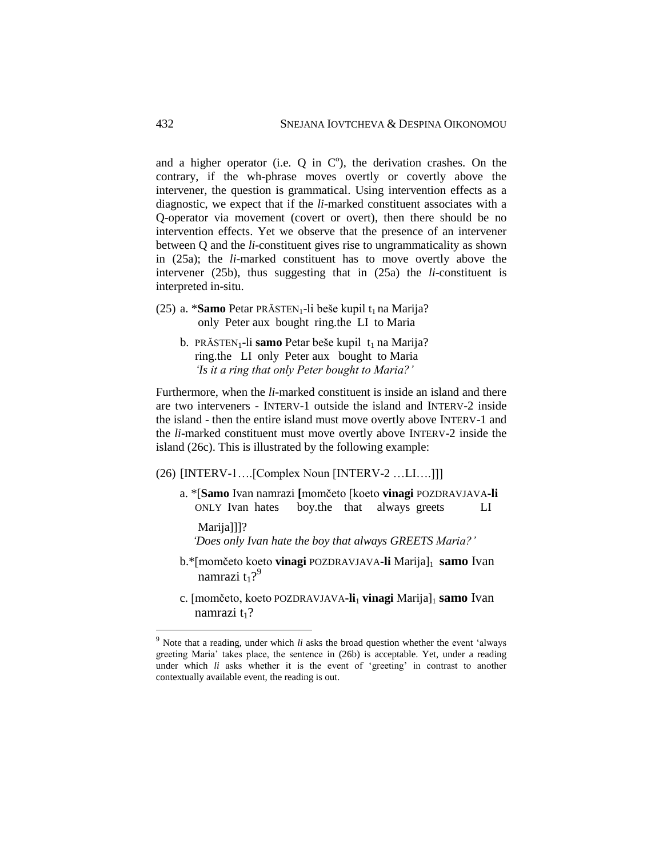and a higher operator (i.e.  $Q$  in  $C^{\circ}$ ), the derivation crashes. On the contrary, if the wh-phrase moves overtly or covertly above the intervener, the question is grammatical. Using intervention effects as a diagnostic, we expect that if the *li*-marked constituent associates with a Q-operator via movement (covert or overt), then there should be no intervention effects. Yet we observe that the presence of an intervener between Q and the *li*-constituent gives rise to ungrammaticality as shown in (25a); the *li*-marked constituent has to move overtly above the intervener (25b), thus suggesting that in (25a) the *li*-constituent is interpreted in-situ.

- (25) a. \***Samo** Petar PRĂSTEN<sub>1</sub>-li beše kupil t<sub>1</sub> na Marija? only Peter aux bought ring.the LI to Maria
	- b. PRĂSTEN<sub>1</sub>-li **samo** Petar beše kupil t<sub>1</sub> na Marija? ring.the LI only Peter aux bought to Maria *'Is it a ring that only Peter bought to Maria?'*

Furthermore, when the *li*-marked constituent is inside an island and there are two interveners - INTERV-1 outside the island and INTERV-2 inside the island - then the entire island must move overtly above INTERV-1 and the *li*-marked constituent must move overtly above INTERV-2 inside the island (26c). This is illustrated by the following example:

(26) [INTERV-1….[Complex Noun [INTERV-2 …LI….]]]

 a. \*[**Samo** Ivan namrazi **[**momčeto [koeto **vinagi** POZDRAVJAVA**-li** ONLY Ivan hates boy.the that always greets LI

Marija]]]?

 $\overline{a}$ 

*'Does only Ivan hate the boy that always GREETS Maria?'*

- b.\*[momčeto koeto vinagi POZDRAVJAVA-li Marija]<sub>1</sub> samo Ivan namrazi  $t_1$ ?<sup>9</sup>
	- c. [momčeto, koeto POZDRAVJAVA-li<sub>1</sub> vinagi Marija]<sub>1</sub> samo Ivan namrazi  $t_1$ ?

<sup>9</sup> Note that a reading, under which *li* asks the broad question whether the event 'always greeting Maria' takes place, the sentence in (26b) is acceptable. Yet, under a reading under which *li* asks whether it is the event of 'greeting' in contrast to another contextually available event, the reading is out.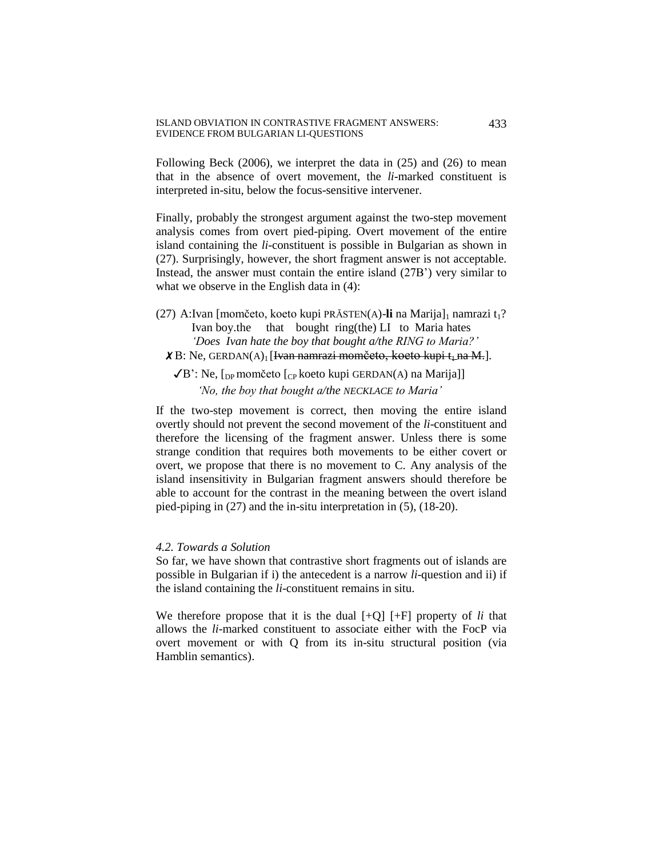Following Beck (2006), we interpret the data in (25) and (26) to mean that in the absence of overt movement, the *li*-marked constituent is interpreted in-situ, below the focus-sensitive intervener.

Finally, probably the strongest argument against the two-step movement analysis comes from overt pied-piping. Overt movement of the entire island containing the *li*-constituent is possible in Bulgarian as shown in (27). Surprisingly, however, the short fragment answer is not acceptable. Instead, the answer must contain the entire island (27B') very similar to what we observe in the English data in  $(4)$ :

(27) A:Ivan [momčeto, koeto kupi PRĂSTEN(A)-li na Marija]<sub>1</sub> namrazi t<sub>1</sub>? Ivan boy.the that bought ring(the) LI to Maria hates  *'Does Ivan hate the boy that bought a/the RING to Maria?'* 

# $\chi$  B: Ne, GERDAN(A)<sub>1</sub> [Ivan namrazi momčeto, koeto kupi t<sub>1</sub> na M.].

 $\sqrt{B}$ ': Ne, [<sub>DP</sub> momčeto [<sub>CP</sub> koeto kupi GERDAN(A) na Marija]]  *'No, the boy that bought a/the NECKLACE to Maria'*

If the two-step movement is correct, then moving the entire island overtly should not prevent the second movement of the *li*-constituent and therefore the licensing of the fragment answer. Unless there is some strange condition that requires both movements to be either covert or overt, we propose that there is no movement to C. Any analysis of the island insensitivity in Bulgarian fragment answers should therefore be able to account for the contrast in the meaning between the overt island pied-piping in (27) and the in-situ interpretation in (5), (18-20).

#### *4.2. Towards a Solution*

So far, we have shown that contrastive short fragments out of islands are possible in Bulgarian if i) the antecedent is a narrow *li*-question and ii) if the island containing the *li*-constituent remains in situ.

We therefore propose that it is the dual  $[+Q]$   $[+F]$  property of *li* that allows the *li*-marked constituent to associate either with the FocP via overt movement or with Q from its in-situ structural position (via Hamblin semantics).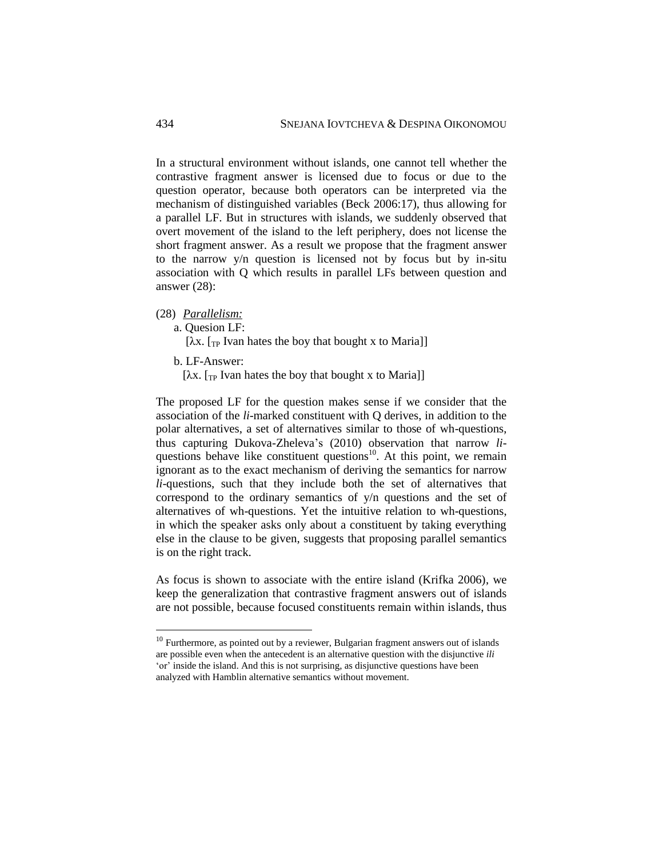In a structural environment without islands, one cannot tell whether the contrastive fragment answer is licensed due to focus or due to the question operator, because both operators can be interpreted via the mechanism of distinguished variables (Beck 2006:17), thus allowing for a parallel LF. But in structures with islands, we suddenly observed that overt movement of the island to the left periphery, does not license the short fragment answer. As a result we propose that the fragment answer to the narrow y/n question is licensed not by focus but by in-situ association with Q which results in parallel LFs between question and answer (28):

(28) *Parallelism:*

a. Quesion LF:

[λx. [<sub>TP</sub> Ivan hates the boy that bought x to Maria]]

b. LF-Answer:

 $\overline{a}$ 

[ $\lambda$ x. [<sub>TP</sub> Ivan hates the boy that bought x to Maria]]

The proposed LF for the question makes sense if we consider that the association of the *li*-marked constituent with Q derives, in addition to the polar alternatives, a set of alternatives similar to those of wh-questions, thus capturing Dukova-Zheleva's (2010) observation that narrow *li*questions behave like constituent questions $10$ . At this point, we remain ignorant as to the exact mechanism of deriving the semantics for narrow *li*-questions, such that they include both the set of alternatives that correspond to the ordinary semantics of y/n questions and the set of alternatives of wh-questions. Yet the intuitive relation to wh-questions, in which the speaker asks only about a constituent by taking everything else in the clause to be given, suggests that proposing parallel semantics is on the right track.

As focus is shown to associate with the entire island (Krifka 2006), we keep the generalization that contrastive fragment answers out of islands are not possible, because focused constituents remain within islands, thus

 $10$  Furthermore, as pointed out by a reviewer, Bulgarian fragment answers out of islands are possible even when the antecedent is an alternative question with the disjunctive *ili* 'or' inside the island. And this is not surprising, as disjunctive questions have been analyzed with Hamblin alternative semantics without movement.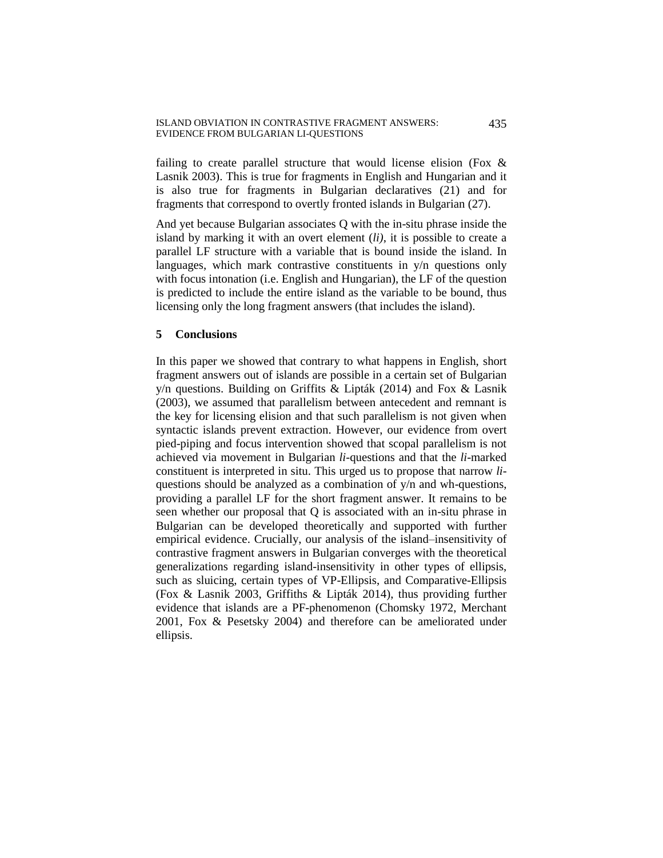failing to create parallel structure that would license elision (Fox & Lasnik 2003). This is true for fragments in English and Hungarian and it is also true for fragments in Bulgarian declaratives (21) and for fragments that correspond to overtly fronted islands in Bulgarian (27).

And yet because Bulgarian associates Q with the in-situ phrase inside the island by marking it with an overt element (*li)*, it is possible to create a parallel LF structure with a variable that is bound inside the island. In languages, which mark contrastive constituents in y/n questions only with focus intonation (i.e. English and Hungarian), the LF of the question is predicted to include the entire island as the variable to be bound, thus licensing only the long fragment answers (that includes the island).

## **5 Conclusions**

In this paper we showed that contrary to what happens in English, short fragment answers out of islands are possible in a certain set of Bulgarian y/n questions. Building on Griffits & Lipták (2014) and Fox & Lasnik (2003), we assumed that parallelism between antecedent and remnant is the key for licensing elision and that such parallelism is not given when syntactic islands prevent extraction. However, our evidence from overt pied-piping and focus intervention showed that scopal parallelism is not achieved via movement in Bulgarian *li-*questions and that the *li*-marked constituent is interpreted in situ. This urged us to propose that narrow *li*questions should be analyzed as a combination of y/n and wh-questions, providing a parallel LF for the short fragment answer. It remains to be seen whether our proposal that Q is associated with an in-situ phrase in Bulgarian can be developed theoretically and supported with further empirical evidence. Crucially, our analysis of the island–insensitivity of contrastive fragment answers in Bulgarian converges with the theoretical generalizations regarding island-insensitivity in other types of ellipsis, such as sluicing, certain types of VP-Ellipsis, and Comparative-Ellipsis (Fox & Lasnik 2003, Griffiths & Lipták 2014), thus providing further evidence that islands are a PF-phenomenon (Chomsky 1972, Merchant 2001, Fox & Pesetsky 2004) and therefore can be ameliorated under ellipsis.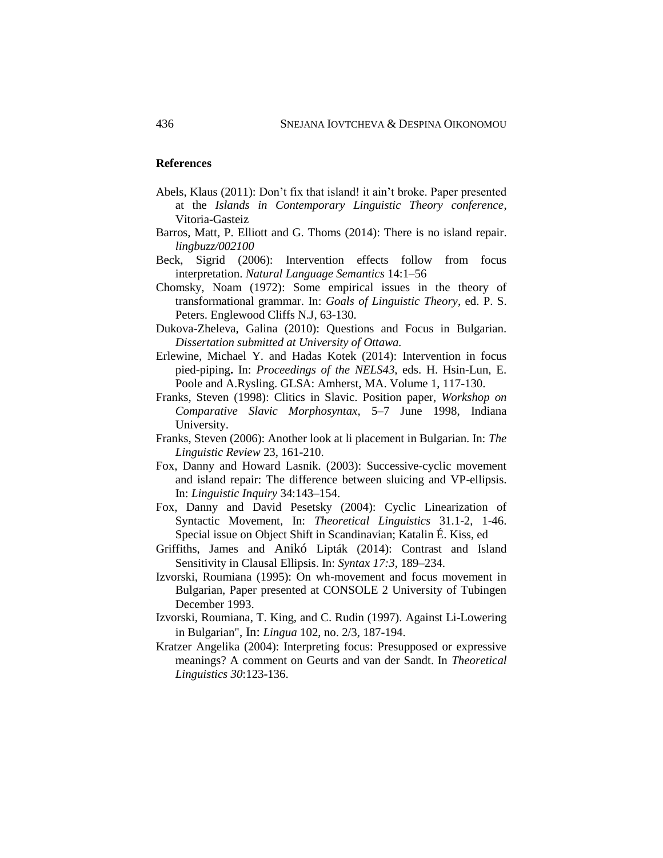### **References**

- Abels, Klaus (2011): Don't fix that island! it ain't broke. Paper presented at the *Islands in Contemporary Linguistic Theory conference*, Vitoria-Gasteiz
- Barros, Matt, P. Elliott and G. Thoms (2014): There is no island repair. *lingbuzz/002100*
- Beck, Sigrid (2006): Intervention effects follow from focus interpretation. *Natural Language Semantics* 14:1–56
- Chomsky, Noam (1972): Some empirical issues in the theory of transformational grammar. In: *Goals of Linguistic Theory*, ed. P. S. Peters. Englewood Cliffs N.J, 63-130.
- Dukova-Zheleva, Galina (2010): Questions and Focus in Bulgarian*. Dissertation submitted at University of Ottawa.*
- Erlewine, Michael Y. and Hadas Kotek (2014): [Intervention in focus](http://semanticsarchive.net/Archive/WIzNzViN/erlewine-kotek-nels2013-preprint.pdf)  [pied-piping](http://semanticsarchive.net/Archive/WIzNzViN/erlewine-kotek-nels2013-preprint.pdf)**.** In: *Proceedings of the NELS43*, eds. H. Hsin-Lun, E. Poole and A.Rysling. GLSA: Amherst, MA. Volume 1, 117-130.
- Franks, Steven (1998): Clitics in Slavic. Position paper, *Workshop on Comparative Slavic Morphosyntax*, 5–7 June 1998, Indiana University.
- Franks, Steven (2006): Another look at li placement in Bulgarian. In: *The Linguistic Review* 23, 161-210.
- Fox, Danny and Howard Lasnik. (2003): Successive-cyclic movement and island repair: The difference between sluicing and VP-ellipsis. In: *Linguistic Inquiry* 34:143–154.
- Fox, Danny and David Pesetsky (2004): Cyclic Linearization of Syntactic Movement, In: *Theoretical Linguistics* 31.1-2, 1-46. Special issue on Object Shift in Scandinavian; Katalin É. Kiss, ed
- Griffiths, James and Anikó Lipták (2014): Contrast and Island Sensitivity in Clausal Ellipsis. In: *Syntax 17:3*, 189–234.
- Izvorski, Roumiana (1995): On wh-movement and focus movement in Bulgarian, Paper presented at CONSOLE 2 University of Tubingen December 1993.
- Izvorski, Roumiana, T. King, and C. Rudin (1997). [Against Li-Lowering](http://www-rcf.usc.edu/~pancheva/LiLINGUA.pdf)  [in Bulgarian",](http://www-rcf.usc.edu/~pancheva/LiLINGUA.pdf) In: *Lingua* 102, no. 2/3, 187-194.
- Kratzer Angelika (2004): Interpreting focus: Presupposed or expressive meanings? A comment on Geurts and van der Sandt. In *Theoretical Linguistics 30*:123-136.